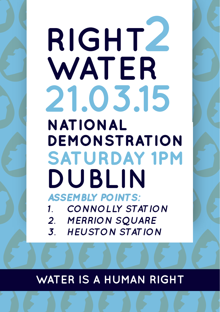# RIGHTZ WATER **21.03.15 National Demonstration Saturday 1pm Dublin** *Assembly points: 1. Connolly Station 2. Merrion Square*

*3. Heuston Station*

### WATER IS A HUMAN RIGHT